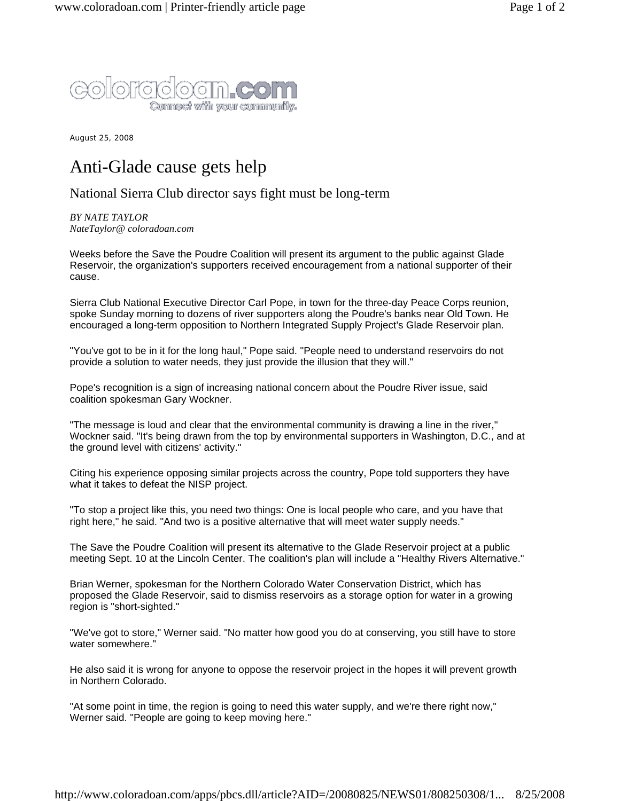

August 25, 2008

## Anti-Glade cause gets help

## National Sierra Club director says fight must be long-term

*BY NATE TAYLOR NateTaylor@ coloradoan.com*

Weeks before the Save the Poudre Coalition will present its argument to the public against Glade Reservoir, the organization's supporters received encouragement from a national supporter of their cause.

Sierra Club National Executive Director Carl Pope, in town for the three-day Peace Corps reunion, spoke Sunday morning to dozens of river supporters along the Poudre's banks near Old Town. He encouraged a long-term opposition to Northern Integrated Supply Project's Glade Reservoir plan.

"You've got to be in it for the long haul," Pope said. "People need to understand reservoirs do not provide a solution to water needs, they just provide the illusion that they will."

Pope's recognition is a sign of increasing national concern about the Poudre River issue, said coalition spokesman Gary Wockner.

"The message is loud and clear that the environmental community is drawing a line in the river," Wockner said. "It's being drawn from the top by environmental supporters in Washington, D.C., and at the ground level with citizens' activity."

Citing his experience opposing similar projects across the country, Pope told supporters they have what it takes to defeat the NISP project.

"To stop a project like this, you need two things: One is local people who care, and you have that right here," he said. "And two is a positive alternative that will meet water supply needs."

The Save the Poudre Coalition will present its alternative to the Glade Reservoir project at a public meeting Sept. 10 at the Lincoln Center. The coalition's plan will include a "Healthy Rivers Alternative."

Brian Werner, spokesman for the Northern Colorado Water Conservation District, which has proposed the Glade Reservoir, said to dismiss reservoirs as a storage option for water in a growing region is "short-sighted."

"We've got to store," Werner said. "No matter how good you do at conserving, you still have to store water somewhere."

He also said it is wrong for anyone to oppose the reservoir project in the hopes it will prevent growth in Northern Colorado.

"At some point in time, the region is going to need this water supply, and we're there right now," Werner said. "People are going to keep moving here."